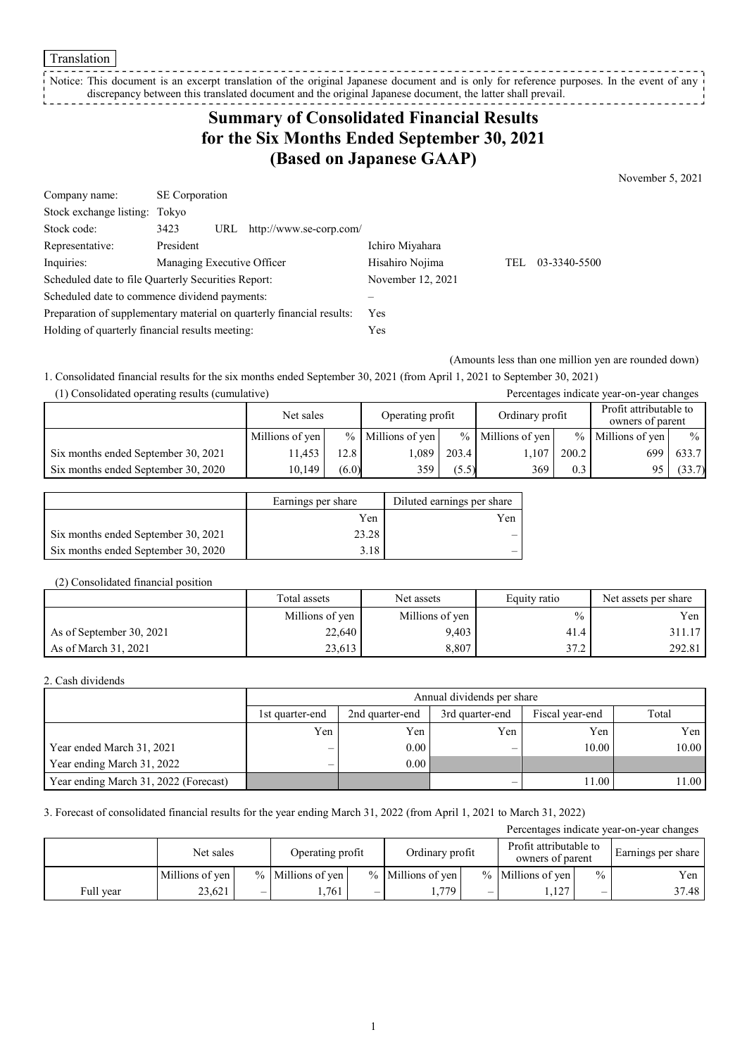#### Translation

Notice: This document is an excerpt translation of the original Japanese document and is only for reference purposes. In the event of any discrepancy between this translated document and the original Japanese document, the latter shall prevail.

# **Summary of Consolidated Financial Results for the Six Months Ended September 30, 2021 (Based on Japanese GAAP)**

November 5, 2021

| Company name:                                                         | <b>SE</b> Corporation                  |                   |     |              |
|-----------------------------------------------------------------------|----------------------------------------|-------------------|-----|--------------|
| Stock exchange listing: Tokyo                                         |                                        |                   |     |              |
| Stock code:                                                           | 3423<br>http://www.se-corp.com/<br>URL |                   |     |              |
| Representative:                                                       | President                              | Ichiro Miyahara   |     |              |
| Inquiries:                                                            | Managing Executive Officer             | Hisahiro Nojima   | TEL | 03-3340-5500 |
| Scheduled date to file Quarterly Securities Report:                   |                                        | November 12, 2021 |     |              |
| Scheduled date to commence dividend payments:                         |                                        |                   |     |              |
| Preparation of supplementary material on quarterly financial results: |                                        | Yes               |     |              |
| Holding of quarterly financial results meeting:                       |                                        | Yes               |     |              |

(Amounts less than one million yen are rounded down)

1. Consolidated financial results for the six months ended September 30, 2021 (from April 1, 2021 to September 30, 2021)

| (1) Consolidated operating results (cumulative) |                 |       |                     |       |                     |       | Percentages indicate year-on-year changes  |               |
|-------------------------------------------------|-----------------|-------|---------------------|-------|---------------------|-------|--------------------------------------------|---------------|
|                                                 | Net sales       |       | Operating profit    |       | Ordinary profit     |       | Profit attributable to<br>owners of parent |               |
|                                                 | Millions of yen |       | $%$ Millions of yen |       | $%$ Millions of yen |       | $%$ Millions of yen                        | $\frac{0}{0}$ |
| Six months ended September 30, 2021             | 1.453           | 12.8  | .089                | 203.4 | 1,107               | 200.2 | 699                                        | 633.7         |
| Six months ended September 30, 2020             | 10,149          | (6.0) | 359                 | (5.5) | 369                 | 0.3   | 95.                                        | (33.7)        |

|                                     | Earnings per share | Diluted earnings per share |
|-------------------------------------|--------------------|----------------------------|
|                                     | Yen                | Yen                        |
| Six months ended September 30, 2021 | 23.28              |                            |
| Six months ended September 30, 2020 | 3.18               |                            |

### (2) Consolidated financial position

|                          | Total assets    | Net assets      | Equity ratio  | Net assets per share |
|--------------------------|-----------------|-----------------|---------------|----------------------|
|                          | Millions of yen | Millions of yen | $\frac{0}{0}$ | Yen                  |
| As of September 30, 2021 | 22,640          | 9.403           | 41.4          | 311.17               |
| As of March 31, 2021     | 23,613          | 8,807           | 37.2          | 292.81               |

### 2. Cash dividends

|                                       |                 | Annual dividends per share                                     |     |       |       |  |  |  |  |
|---------------------------------------|-----------------|----------------------------------------------------------------|-----|-------|-------|--|--|--|--|
|                                       | 1st quarter-end | Total<br>Fiscal year-end<br>2nd quarter-end<br>3rd quarter-end |     |       |       |  |  |  |  |
|                                       | Yen             | Yen                                                            | Yen | Yen   | Yen   |  |  |  |  |
| Year ended March 31, 2021             | –               | 0.00                                                           | –   | 10.00 | 10.00 |  |  |  |  |
| Year ending March 31, 2022            | —               | 0.00                                                           |     |       |       |  |  |  |  |
| Year ending March 31, 2022 (Forecast) |                 |                                                                |     | 11.00 | 11.00 |  |  |  |  |

### 3. Forecast of consolidated financial results for the year ending March 31, 2022 (from April 1, 2021 to March 31, 2022)

| Percentages indicate year-on-year changes |                 |                          |                     |   |                     |   |                                            |               |       |                    |
|-------------------------------------------|-----------------|--------------------------|---------------------|---|---------------------|---|--------------------------------------------|---------------|-------|--------------------|
|                                           | Net sales       |                          | Operating profit    |   | Ordinary profit     |   | Profit attributable to<br>owners of parent |               |       | Earnings per share |
|                                           | Millions of yen |                          | $%$ Millions of yen |   | $%$ Millions of yen |   | $%$ Millions of yen                        | $\frac{0}{0}$ | Yen   |                    |
| Full vear                                 | 23.621          | $\overline{\phantom{0}}$ | .761                | – | . . 779             | — | .127                                       | –             | 37.48 |                    |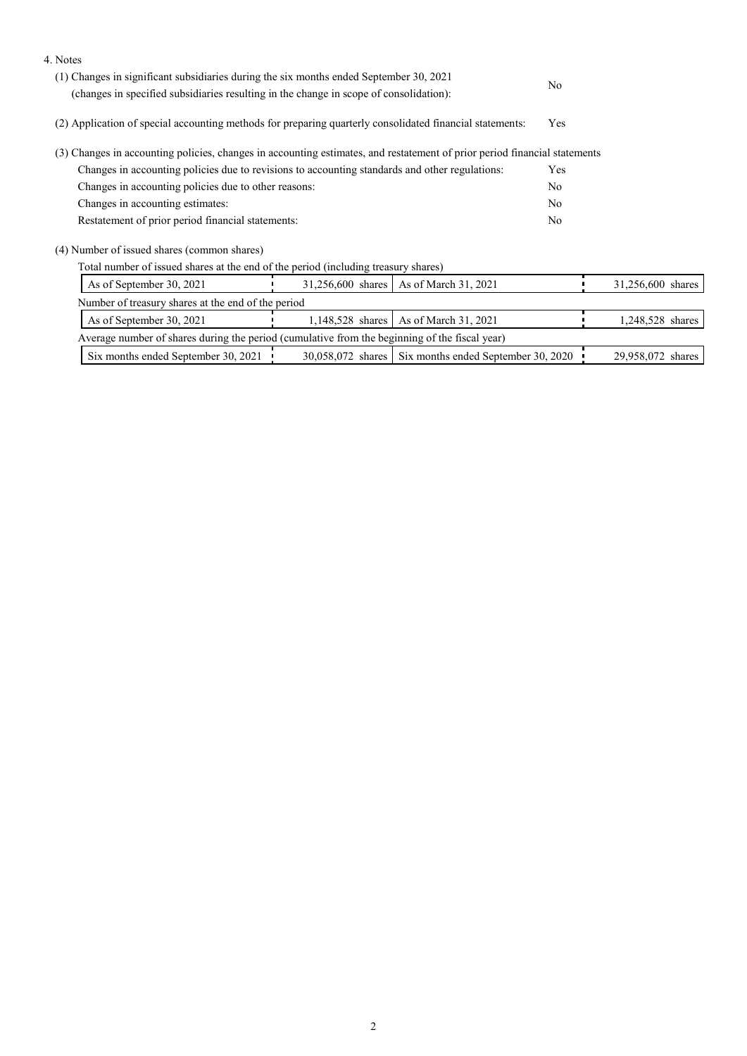| 4. Notes                                                                                                                                                                         |                   |                                                         |     |                   |  |
|----------------------------------------------------------------------------------------------------------------------------------------------------------------------------------|-------------------|---------------------------------------------------------|-----|-------------------|--|
| (1) Changes in significant subsidiaries during the six months ended September 30, 2021<br>(changes in specified subsidiaries resulting in the change in scope of consolidation): |                   | N <sub>o</sub>                                          |     |                   |  |
|                                                                                                                                                                                  |                   |                                                         |     |                   |  |
| (2) Application of special accounting methods for preparing quarterly consolidated financial statements:                                                                         |                   |                                                         | Yes |                   |  |
| (3) Changes in accounting policies, changes in accounting estimates, and restatement of prior period financial statements                                                        |                   |                                                         |     |                   |  |
| Changes in accounting policies due to revisions to accounting standards and other regulations:                                                                                   | Yes               |                                                         |     |                   |  |
| Changes in accounting policies due to other reasons:                                                                                                                             | N <sub>o</sub>    |                                                         |     |                   |  |
| Changes in accounting estimates:                                                                                                                                                 |                   |                                                         |     |                   |  |
| Restatement of prior period financial statements:                                                                                                                                |                   |                                                         |     |                   |  |
| (4) Number of issued shares (common shares)                                                                                                                                      |                   |                                                         |     |                   |  |
| Total number of issued shares at the end of the period (including treasury shares)                                                                                               |                   |                                                         |     |                   |  |
| As of September 30, 2021                                                                                                                                                         | 31,256,600 shares | As of March 31, 2021                                    |     | 31,256,600 shares |  |
| Number of treasury shares at the end of the period                                                                                                                               |                   |                                                         |     |                   |  |
| As of September 30, 2021                                                                                                                                                         | 1,148,528 shares  | As of March 31, 2021                                    |     | 1,248,528 shares  |  |
| Average number of shares during the period (cumulative from the beginning of the fiscal year)                                                                                    |                   |                                                         |     |                   |  |
| Six months ended September 30, 2021                                                                                                                                              |                   | 30,058,072 shares   Six months ended September 30, 2020 |     | 29,958,072 shares |  |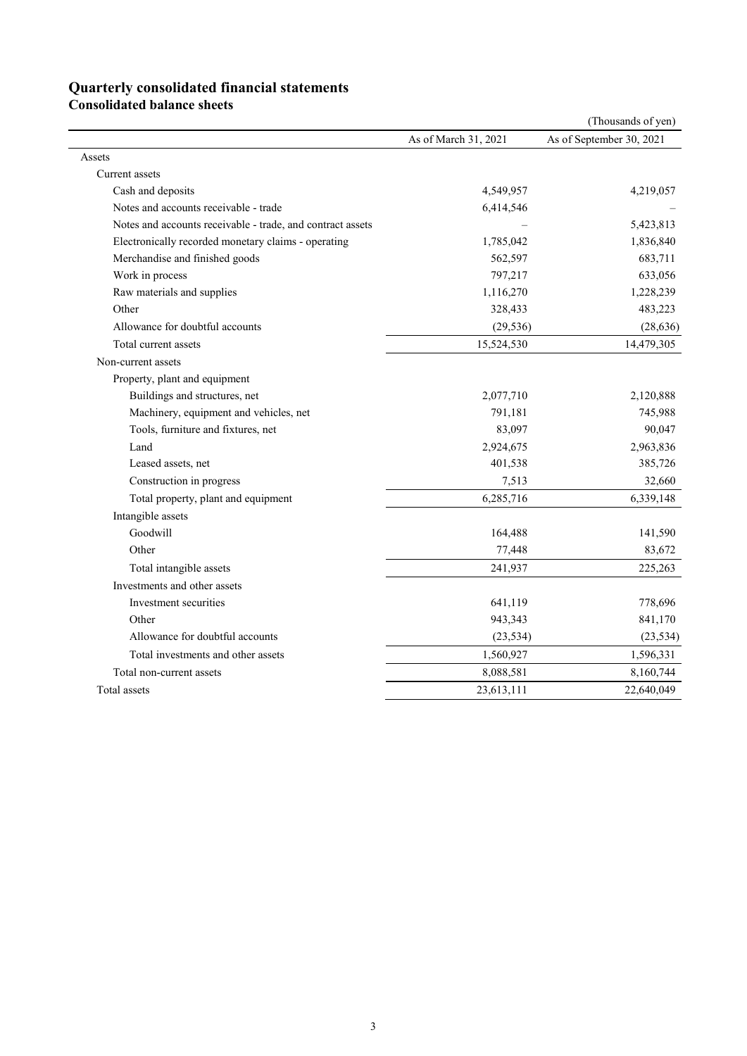## **Quarterly consolidated financial statements**

**Consolidated balance sheets** 

| As of September 30, 2021<br>As of March 31, 2021<br>Assets<br>Current assets<br>Cash and deposits<br>4,549,957<br>4,219,057<br>Notes and accounts receivable - trade<br>6,414,546<br>Notes and accounts receivable - trade, and contract assets<br>5,423,813 |
|--------------------------------------------------------------------------------------------------------------------------------------------------------------------------------------------------------------------------------------------------------------|
|                                                                                                                                                                                                                                                              |
|                                                                                                                                                                                                                                                              |
|                                                                                                                                                                                                                                                              |
|                                                                                                                                                                                                                                                              |
|                                                                                                                                                                                                                                                              |
|                                                                                                                                                                                                                                                              |
| Electronically recorded monetary claims - operating<br>1,785,042<br>1,836,840                                                                                                                                                                                |
| Merchandise and finished goods<br>562,597<br>683,711                                                                                                                                                                                                         |
| Work in process<br>797,217<br>633,056                                                                                                                                                                                                                        |
| Raw materials and supplies<br>1,116,270<br>1,228,239                                                                                                                                                                                                         |
| Other<br>328,433<br>483,223                                                                                                                                                                                                                                  |
| Allowance for doubtful accounts<br>(29, 536)<br>(28, 636)                                                                                                                                                                                                    |
| 15,524,530<br>14,479,305<br>Total current assets                                                                                                                                                                                                             |
| Non-current assets                                                                                                                                                                                                                                           |
| Property, plant and equipment                                                                                                                                                                                                                                |
| Buildings and structures, net<br>2,077,710<br>2,120,888                                                                                                                                                                                                      |
| Machinery, equipment and vehicles, net<br>791,181<br>745,988                                                                                                                                                                                                 |
| Tools, furniture and fixtures, net<br>83,097<br>90,047                                                                                                                                                                                                       |
| Land<br>2,924,675<br>2,963,836                                                                                                                                                                                                                               |
| 385,726<br>Leased assets, net<br>401,538                                                                                                                                                                                                                     |
| 32,660<br>Construction in progress<br>7,513                                                                                                                                                                                                                  |
| 6,285,716<br>Total property, plant and equipment<br>6,339,148                                                                                                                                                                                                |
| Intangible assets                                                                                                                                                                                                                                            |
| Goodwill<br>164,488<br>141,590                                                                                                                                                                                                                               |
| Other<br>77,448<br>83,672                                                                                                                                                                                                                                    |
| Total intangible assets<br>241,937<br>225,263                                                                                                                                                                                                                |
| Investments and other assets                                                                                                                                                                                                                                 |
| Investment securities<br>641,119<br>778,696                                                                                                                                                                                                                  |
| Other<br>943,343<br>841,170                                                                                                                                                                                                                                  |
| Allowance for doubtful accounts<br>(23, 534)<br>(23, 534)                                                                                                                                                                                                    |
| Total investments and other assets<br>1,560,927<br>1,596,331                                                                                                                                                                                                 |
| Total non-current assets<br>8,088,581<br>8,160,744                                                                                                                                                                                                           |
| Total assets<br>23,613,111<br>22,640,049                                                                                                                                                                                                                     |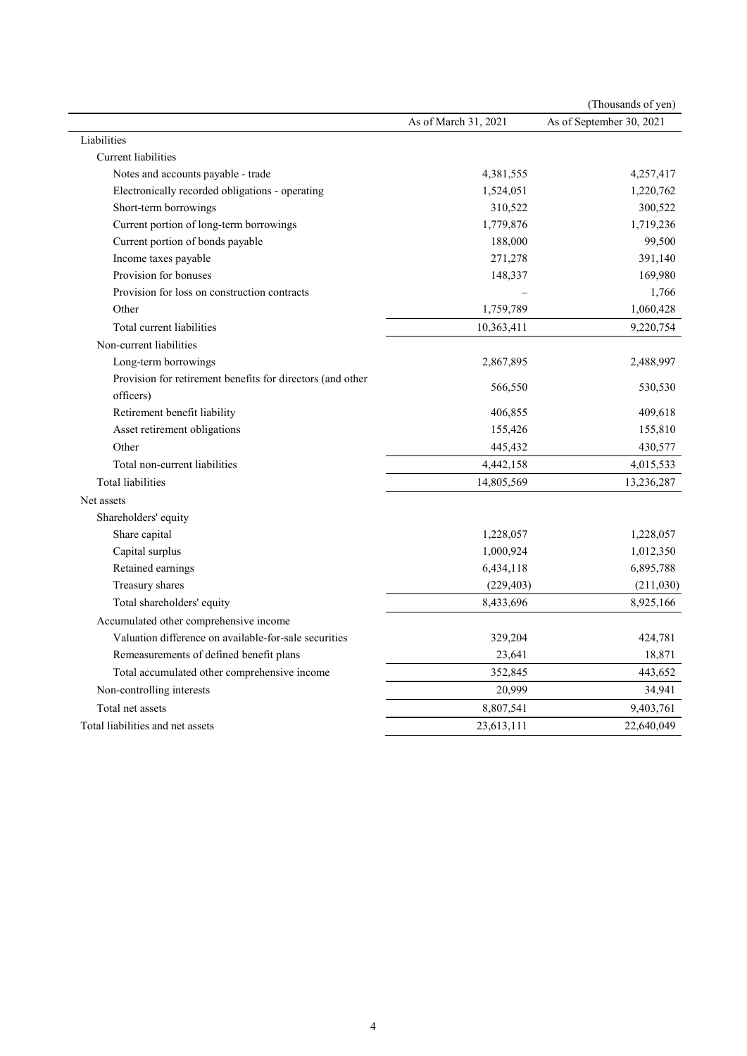| As of September 30, 2021<br>As of March 31, 2021<br>Liabilities<br>Current liabilities<br>Notes and accounts payable - trade<br>4,381,555<br>4,257,417<br>Electronically recorded obligations - operating<br>1,524,051<br>1,220,762<br>300,522<br>Short-term borrowings<br>310,522<br>Current portion of long-term borrowings<br>1,779,876<br>1,719,236<br>Current portion of bonds payable<br>99,500<br>188,000<br>Income taxes payable<br>391,140<br>271,278<br>Provision for bonuses<br>169,980<br>148,337<br>Provision for loss on construction contracts<br>1,766<br>Other<br>1,759,789<br>1,060,428<br>Total current liabilities<br>10,363,411<br>9,220,754<br>Non-current liabilities<br>Long-term borrowings<br>2,867,895<br>2,488,997<br>Provision for retirement benefits for directors (and other<br>566,550<br>530,530<br>officers)<br>Retirement benefit liability<br>406,855<br>409,618<br>Asset retirement obligations<br>155,426<br>155,810<br>Other<br>445,432<br>430,577<br>Total non-current liabilities<br>4,442,158<br>4,015,533<br><b>Total liabilities</b><br>14,805,569<br>13,236,287<br>Net assets<br>Shareholders' equity<br>Share capital<br>1,228,057<br>1,228,057<br>Capital surplus<br>1,000,924<br>1,012,350<br>Retained earnings<br>6,434,118<br>6,895,788<br>Treasury shares<br>(229, 403)<br>(211,030)<br>Total shareholders' equity<br>8,433,696<br>8,925,166<br>Accumulated other comprehensive income<br>Valuation difference on available-for-sale securities<br>329,204<br>424,781<br>18,871<br>Remeasurements of defined benefit plans<br>23,641<br>Total accumulated other comprehensive income<br>352,845<br>443,652<br>20,999<br>Non-controlling interests<br>34,941<br>Total net assets<br>8,807,541<br>9,403,761 |                                  |            | (Thousands of yen) |
|---------------------------------------------------------------------------------------------------------------------------------------------------------------------------------------------------------------------------------------------------------------------------------------------------------------------------------------------------------------------------------------------------------------------------------------------------------------------------------------------------------------------------------------------------------------------------------------------------------------------------------------------------------------------------------------------------------------------------------------------------------------------------------------------------------------------------------------------------------------------------------------------------------------------------------------------------------------------------------------------------------------------------------------------------------------------------------------------------------------------------------------------------------------------------------------------------------------------------------------------------------------------------------------------------------------------------------------------------------------------------------------------------------------------------------------------------------------------------------------------------------------------------------------------------------------------------------------------------------------------------------------------------------------------------------------------------------------------------------------------------------------|----------------------------------|------------|--------------------|
|                                                                                                                                                                                                                                                                                                                                                                                                                                                                                                                                                                                                                                                                                                                                                                                                                                                                                                                                                                                                                                                                                                                                                                                                                                                                                                                                                                                                                                                                                                                                                                                                                                                                                                                                                               |                                  |            |                    |
|                                                                                                                                                                                                                                                                                                                                                                                                                                                                                                                                                                                                                                                                                                                                                                                                                                                                                                                                                                                                                                                                                                                                                                                                                                                                                                                                                                                                                                                                                                                                                                                                                                                                                                                                                               |                                  |            |                    |
|                                                                                                                                                                                                                                                                                                                                                                                                                                                                                                                                                                                                                                                                                                                                                                                                                                                                                                                                                                                                                                                                                                                                                                                                                                                                                                                                                                                                                                                                                                                                                                                                                                                                                                                                                               |                                  |            |                    |
|                                                                                                                                                                                                                                                                                                                                                                                                                                                                                                                                                                                                                                                                                                                                                                                                                                                                                                                                                                                                                                                                                                                                                                                                                                                                                                                                                                                                                                                                                                                                                                                                                                                                                                                                                               |                                  |            |                    |
|                                                                                                                                                                                                                                                                                                                                                                                                                                                                                                                                                                                                                                                                                                                                                                                                                                                                                                                                                                                                                                                                                                                                                                                                                                                                                                                                                                                                                                                                                                                                                                                                                                                                                                                                                               |                                  |            |                    |
|                                                                                                                                                                                                                                                                                                                                                                                                                                                                                                                                                                                                                                                                                                                                                                                                                                                                                                                                                                                                                                                                                                                                                                                                                                                                                                                                                                                                                                                                                                                                                                                                                                                                                                                                                               |                                  |            |                    |
|                                                                                                                                                                                                                                                                                                                                                                                                                                                                                                                                                                                                                                                                                                                                                                                                                                                                                                                                                                                                                                                                                                                                                                                                                                                                                                                                                                                                                                                                                                                                                                                                                                                                                                                                                               |                                  |            |                    |
|                                                                                                                                                                                                                                                                                                                                                                                                                                                                                                                                                                                                                                                                                                                                                                                                                                                                                                                                                                                                                                                                                                                                                                                                                                                                                                                                                                                                                                                                                                                                                                                                                                                                                                                                                               |                                  |            |                    |
|                                                                                                                                                                                                                                                                                                                                                                                                                                                                                                                                                                                                                                                                                                                                                                                                                                                                                                                                                                                                                                                                                                                                                                                                                                                                                                                                                                                                                                                                                                                                                                                                                                                                                                                                                               |                                  |            |                    |
|                                                                                                                                                                                                                                                                                                                                                                                                                                                                                                                                                                                                                                                                                                                                                                                                                                                                                                                                                                                                                                                                                                                                                                                                                                                                                                                                                                                                                                                                                                                                                                                                                                                                                                                                                               |                                  |            |                    |
|                                                                                                                                                                                                                                                                                                                                                                                                                                                                                                                                                                                                                                                                                                                                                                                                                                                                                                                                                                                                                                                                                                                                                                                                                                                                                                                                                                                                                                                                                                                                                                                                                                                                                                                                                               |                                  |            |                    |
|                                                                                                                                                                                                                                                                                                                                                                                                                                                                                                                                                                                                                                                                                                                                                                                                                                                                                                                                                                                                                                                                                                                                                                                                                                                                                                                                                                                                                                                                                                                                                                                                                                                                                                                                                               |                                  |            |                    |
|                                                                                                                                                                                                                                                                                                                                                                                                                                                                                                                                                                                                                                                                                                                                                                                                                                                                                                                                                                                                                                                                                                                                                                                                                                                                                                                                                                                                                                                                                                                                                                                                                                                                                                                                                               |                                  |            |                    |
|                                                                                                                                                                                                                                                                                                                                                                                                                                                                                                                                                                                                                                                                                                                                                                                                                                                                                                                                                                                                                                                                                                                                                                                                                                                                                                                                                                                                                                                                                                                                                                                                                                                                                                                                                               |                                  |            |                    |
|                                                                                                                                                                                                                                                                                                                                                                                                                                                                                                                                                                                                                                                                                                                                                                                                                                                                                                                                                                                                                                                                                                                                                                                                                                                                                                                                                                                                                                                                                                                                                                                                                                                                                                                                                               |                                  |            |                    |
|                                                                                                                                                                                                                                                                                                                                                                                                                                                                                                                                                                                                                                                                                                                                                                                                                                                                                                                                                                                                                                                                                                                                                                                                                                                                                                                                                                                                                                                                                                                                                                                                                                                                                                                                                               |                                  |            |                    |
|                                                                                                                                                                                                                                                                                                                                                                                                                                                                                                                                                                                                                                                                                                                                                                                                                                                                                                                                                                                                                                                                                                                                                                                                                                                                                                                                                                                                                                                                                                                                                                                                                                                                                                                                                               |                                  |            |                    |
|                                                                                                                                                                                                                                                                                                                                                                                                                                                                                                                                                                                                                                                                                                                                                                                                                                                                                                                                                                                                                                                                                                                                                                                                                                                                                                                                                                                                                                                                                                                                                                                                                                                                                                                                                               |                                  |            |                    |
|                                                                                                                                                                                                                                                                                                                                                                                                                                                                                                                                                                                                                                                                                                                                                                                                                                                                                                                                                                                                                                                                                                                                                                                                                                                                                                                                                                                                                                                                                                                                                                                                                                                                                                                                                               |                                  |            |                    |
|                                                                                                                                                                                                                                                                                                                                                                                                                                                                                                                                                                                                                                                                                                                                                                                                                                                                                                                                                                                                                                                                                                                                                                                                                                                                                                                                                                                                                                                                                                                                                                                                                                                                                                                                                               |                                  |            |                    |
|                                                                                                                                                                                                                                                                                                                                                                                                                                                                                                                                                                                                                                                                                                                                                                                                                                                                                                                                                                                                                                                                                                                                                                                                                                                                                                                                                                                                                                                                                                                                                                                                                                                                                                                                                               |                                  |            |                    |
|                                                                                                                                                                                                                                                                                                                                                                                                                                                                                                                                                                                                                                                                                                                                                                                                                                                                                                                                                                                                                                                                                                                                                                                                                                                                                                                                                                                                                                                                                                                                                                                                                                                                                                                                                               |                                  |            |                    |
|                                                                                                                                                                                                                                                                                                                                                                                                                                                                                                                                                                                                                                                                                                                                                                                                                                                                                                                                                                                                                                                                                                                                                                                                                                                                                                                                                                                                                                                                                                                                                                                                                                                                                                                                                               |                                  |            |                    |
|                                                                                                                                                                                                                                                                                                                                                                                                                                                                                                                                                                                                                                                                                                                                                                                                                                                                                                                                                                                                                                                                                                                                                                                                                                                                                                                                                                                                                                                                                                                                                                                                                                                                                                                                                               |                                  |            |                    |
|                                                                                                                                                                                                                                                                                                                                                                                                                                                                                                                                                                                                                                                                                                                                                                                                                                                                                                                                                                                                                                                                                                                                                                                                                                                                                                                                                                                                                                                                                                                                                                                                                                                                                                                                                               |                                  |            |                    |
|                                                                                                                                                                                                                                                                                                                                                                                                                                                                                                                                                                                                                                                                                                                                                                                                                                                                                                                                                                                                                                                                                                                                                                                                                                                                                                                                                                                                                                                                                                                                                                                                                                                                                                                                                               |                                  |            |                    |
|                                                                                                                                                                                                                                                                                                                                                                                                                                                                                                                                                                                                                                                                                                                                                                                                                                                                                                                                                                                                                                                                                                                                                                                                                                                                                                                                                                                                                                                                                                                                                                                                                                                                                                                                                               |                                  |            |                    |
|                                                                                                                                                                                                                                                                                                                                                                                                                                                                                                                                                                                                                                                                                                                                                                                                                                                                                                                                                                                                                                                                                                                                                                                                                                                                                                                                                                                                                                                                                                                                                                                                                                                                                                                                                               |                                  |            |                    |
|                                                                                                                                                                                                                                                                                                                                                                                                                                                                                                                                                                                                                                                                                                                                                                                                                                                                                                                                                                                                                                                                                                                                                                                                                                                                                                                                                                                                                                                                                                                                                                                                                                                                                                                                                               |                                  |            |                    |
|                                                                                                                                                                                                                                                                                                                                                                                                                                                                                                                                                                                                                                                                                                                                                                                                                                                                                                                                                                                                                                                                                                                                                                                                                                                                                                                                                                                                                                                                                                                                                                                                                                                                                                                                                               |                                  |            |                    |
|                                                                                                                                                                                                                                                                                                                                                                                                                                                                                                                                                                                                                                                                                                                                                                                                                                                                                                                                                                                                                                                                                                                                                                                                                                                                                                                                                                                                                                                                                                                                                                                                                                                                                                                                                               |                                  |            |                    |
|                                                                                                                                                                                                                                                                                                                                                                                                                                                                                                                                                                                                                                                                                                                                                                                                                                                                                                                                                                                                                                                                                                                                                                                                                                                                                                                                                                                                                                                                                                                                                                                                                                                                                                                                                               |                                  |            |                    |
|                                                                                                                                                                                                                                                                                                                                                                                                                                                                                                                                                                                                                                                                                                                                                                                                                                                                                                                                                                                                                                                                                                                                                                                                                                                                                                                                                                                                                                                                                                                                                                                                                                                                                                                                                               |                                  |            |                    |
|                                                                                                                                                                                                                                                                                                                                                                                                                                                                                                                                                                                                                                                                                                                                                                                                                                                                                                                                                                                                                                                                                                                                                                                                                                                                                                                                                                                                                                                                                                                                                                                                                                                                                                                                                               |                                  |            |                    |
|                                                                                                                                                                                                                                                                                                                                                                                                                                                                                                                                                                                                                                                                                                                                                                                                                                                                                                                                                                                                                                                                                                                                                                                                                                                                                                                                                                                                                                                                                                                                                                                                                                                                                                                                                               |                                  |            |                    |
|                                                                                                                                                                                                                                                                                                                                                                                                                                                                                                                                                                                                                                                                                                                                                                                                                                                                                                                                                                                                                                                                                                                                                                                                                                                                                                                                                                                                                                                                                                                                                                                                                                                                                                                                                               | Total liabilities and net assets | 23,613,111 | 22,640,049         |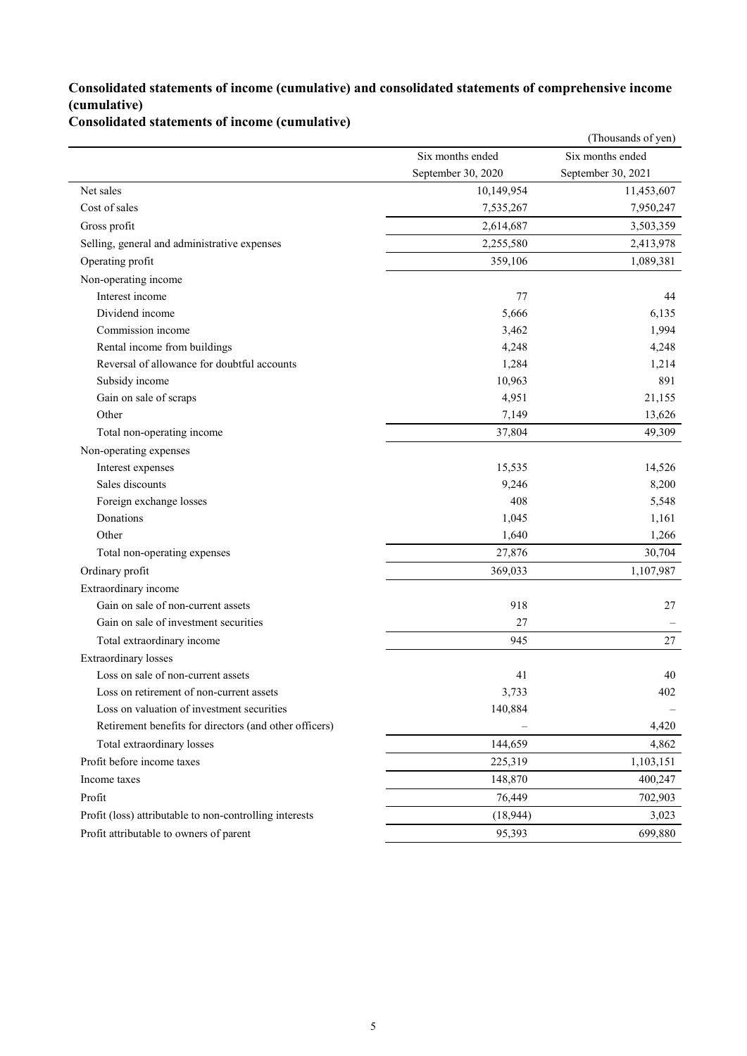## **Consolidated statements of income (cumulative) and consolidated statements of comprehensive income (cumulative)**

**Consolidated statements of income (cumulative)**

|                                                         |                    | (Thousands of yen) |
|---------------------------------------------------------|--------------------|--------------------|
|                                                         | Six months ended   | Six months ended   |
|                                                         | September 30, 2020 | September 30, 2021 |
| Net sales                                               | 10,149,954         | 11,453,607         |
| Cost of sales                                           | 7,535,267          | 7,950,247          |
| Gross profit                                            | 2,614,687          | 3,503,359          |
| Selling, general and administrative expenses            | 2,255,580          | 2,413,978          |
| Operating profit                                        | 359,106            | 1,089,381          |
| Non-operating income                                    |                    |                    |
| Interest income                                         | 77                 | 44                 |
| Dividend income                                         | 5,666              | 6,135              |
| Commission income                                       | 3,462              | 1,994              |
| Rental income from buildings                            | 4,248              | 4,248              |
| Reversal of allowance for doubtful accounts             | 1,284              | 1,214              |
| Subsidy income                                          | 10,963             | 891                |
| Gain on sale of scraps                                  | 4,951              | 21,155             |
| Other                                                   | 7,149              | 13,626             |
| Total non-operating income                              | 37,804             | 49,309             |
| Non-operating expenses                                  |                    |                    |
| Interest expenses                                       | 15,535             | 14,526             |
| Sales discounts                                         | 9,246              | 8,200              |
| Foreign exchange losses                                 | 408                | 5,548              |
| Donations                                               | 1,045              | 1,161              |
| Other                                                   | 1,640              | 1,266              |
| Total non-operating expenses                            | 27,876             | 30,704             |
| Ordinary profit                                         | 369,033            | 1,107,987          |
| Extraordinary income                                    |                    |                    |
| Gain on sale of non-current assets                      | 918                | 27                 |
| Gain on sale of investment securities                   | 27                 |                    |
| Total extraordinary income                              | 945                | 27                 |
| <b>Extraordinary</b> losses                             |                    |                    |
| Loss on sale of non-current assets                      | 41                 | 40                 |
| Loss on retirement of non-current assets                | 3,733              | 402                |
| Loss on valuation of investment securities              | 140,884            |                    |
| Retirement benefits for directors (and other officers)  |                    | 4,420              |
| Total extraordinary losses                              | 144,659            | 4,862              |
| Profit before income taxes                              | 225,319            | 1,103,151          |
| Income taxes                                            | 148,870            | 400,247            |
| Profit                                                  | 76,449             | 702,903            |
| Profit (loss) attributable to non-controlling interests | (18, 944)          | 3,023              |
| Profit attributable to owners of parent                 | 95,393             | 699,880            |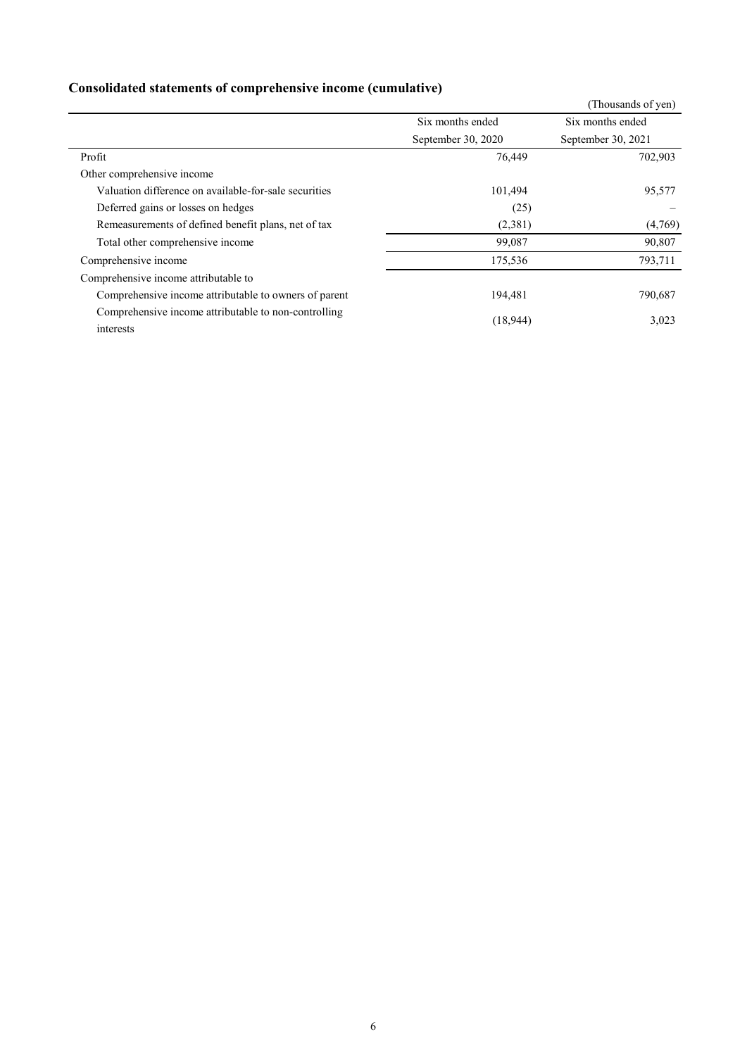## **Consolidated statements of comprehensive income (cumulative)**

|                                                                   |                    | (Thousands of yen) |
|-------------------------------------------------------------------|--------------------|--------------------|
|                                                                   | Six months ended   | Six months ended   |
|                                                                   | September 30, 2020 | September 30, 2021 |
| Profit                                                            | 76,449             | 702,903            |
| Other comprehensive income                                        |                    |                    |
| Valuation difference on available-for-sale securities             | 101,494            | 95,577             |
| Deferred gains or losses on hedges                                | (25)               |                    |
| Remeasurements of defined benefit plans, net of tax               | (2,381)            | (4,769)            |
| Total other comprehensive income                                  | 99,087             | 90,807             |
| Comprehensive income                                              | 175,536            | 793,711            |
| Comprehensive income attributable to                              |                    |                    |
| Comprehensive income attributable to owners of parent             | 194,481            | 790,687            |
| Comprehensive income attributable to non-controlling<br>interests | (18,944)           | 3,023              |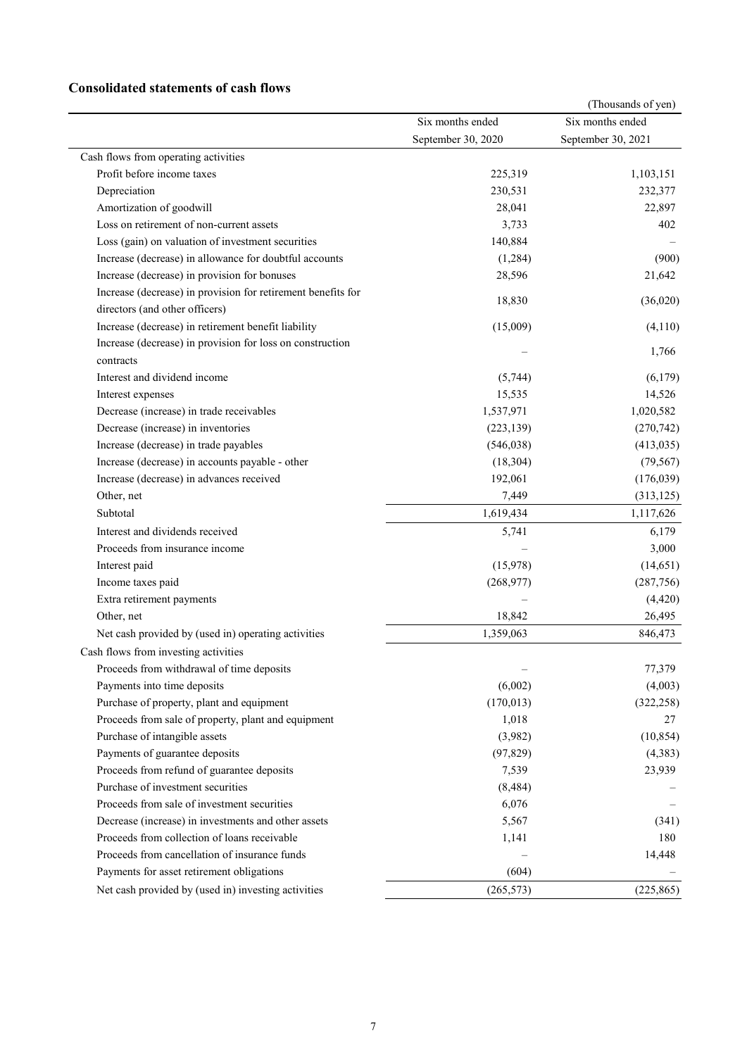### **Consolidated statements of cash flows**

|                                                              |                    | (Thousands of yen) |
|--------------------------------------------------------------|--------------------|--------------------|
|                                                              | Six months ended   | Six months ended   |
|                                                              | September 30, 2020 | September 30, 2021 |
| Cash flows from operating activities                         |                    |                    |
| Profit before income taxes                                   | 225,319            | 1,103,151          |
| Depreciation                                                 | 230,531            | 232,377            |
| Amortization of goodwill                                     | 28,041             | 22,897             |
| Loss on retirement of non-current assets                     | 3,733              | 402                |
| Loss (gain) on valuation of investment securities            | 140,884            |                    |
| Increase (decrease) in allowance for doubtful accounts       | (1,284)            | (900)              |
| Increase (decrease) in provision for bonuses                 | 28,596             | 21,642             |
| Increase (decrease) in provision for retirement benefits for |                    |                    |
| directors (and other officers)                               | 18,830             | (36,020)           |
| Increase (decrease) in retirement benefit liability          | (15,009)           | (4,110)            |
| Increase (decrease) in provision for loss on construction    |                    | 1,766              |
| contracts                                                    |                    |                    |
| Interest and dividend income                                 | (5,744)            | (6,179)            |
| Interest expenses                                            | 15,535             | 14,526             |
| Decrease (increase) in trade receivables                     | 1,537,971          | 1,020,582          |
| Decrease (increase) in inventories                           | (223, 139)         | (270, 742)         |
| Increase (decrease) in trade payables                        | (546, 038)         | (413, 035)         |
| Increase (decrease) in accounts payable - other              | (18, 304)          | (79, 567)          |
| Increase (decrease) in advances received                     | 192,061            | (176, 039)         |
| Other, net                                                   | 7,449              | (313, 125)         |
| Subtotal                                                     | 1,619,434          | 1,117,626          |
| Interest and dividends received                              | 5,741              | 6,179              |
| Proceeds from insurance income                               |                    | 3,000              |
| Interest paid                                                | (15,978)           | (14,651)           |
| Income taxes paid                                            | (268, 977)         | (287, 756)         |
| Extra retirement payments                                    |                    | (4, 420)           |
| Other, net                                                   | 18,842             | 26,495             |
| Net cash provided by (used in) operating activities          | 1,359,063          | 846,473            |
| Cash flows from investing activities                         |                    |                    |
| Proceeds from withdrawal of time deposits                    |                    | 77,379             |
| Payments into time deposits                                  | (6,002)            | (4,003)            |
| Purchase of property, plant and equipment                    | (170, 013)         | (322, 258)         |
| Proceeds from sale of property, plant and equipment          | 1,018              | 27                 |
| Purchase of intangible assets                                | (3,982)            | (10, 854)          |
| Payments of guarantee deposits                               | (97, 829)          | (4,383)            |
| Proceeds from refund of guarantee deposits                   | 7,539              | 23,939             |
| Purchase of investment securities                            | (8, 484)           |                    |
| Proceeds from sale of investment securities                  | 6,076              |                    |
| Decrease (increase) in investments and other assets          | 5,567              | (341)              |
| Proceeds from collection of loans receivable                 | 1,141              | 180                |
| Proceeds from cancellation of insurance funds                |                    | 14,448             |
| Payments for asset retirement obligations                    | (604)              |                    |
| Net cash provided by (used in) investing activities          | (265, 573)         | (225, 865)         |